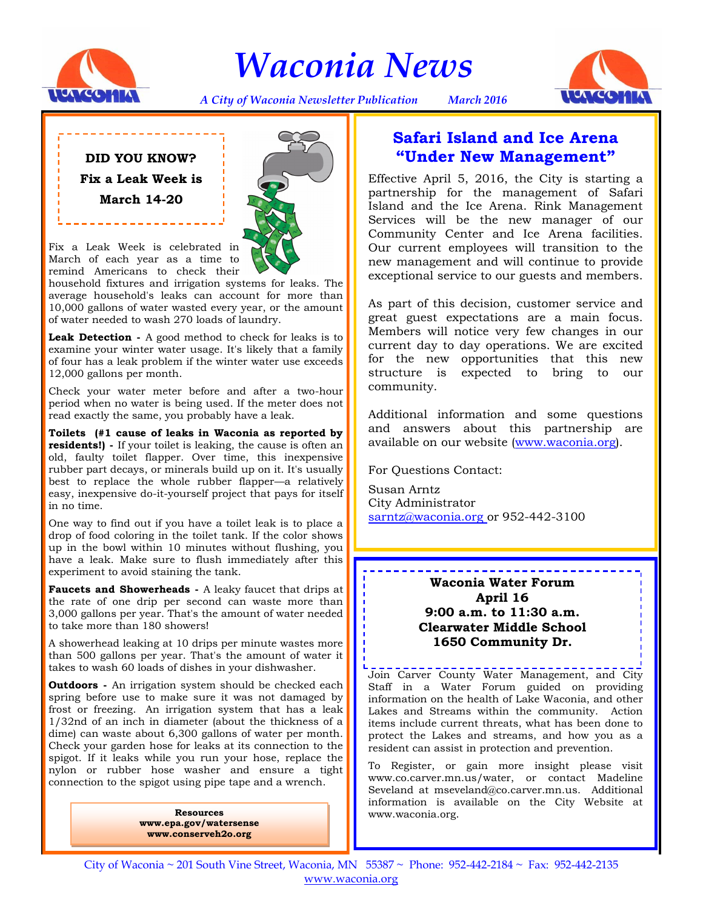

# *Waconia News*



*A City of Waconia Newsletter Publication March 2016*

**DID YOU KNOW? Fix a Leak Week is March 14-20**



Fix a Leak Week is celebrated in March of each year as a time to remind Americans to check their

household fixtures and irrigation systems for leaks. The average household's leaks can account for more than 10,000 gallons of water wasted every year, or the amount of water needed to wash 270 loads of laundry.

**Leak Detection -** A good method to check for leaks is to examine your winter water usage. It's likely that a family of four has a leak problem if the winter water use exceeds 12,000 gallons per month.

Check your water meter before and after a two-hour period when no water is being used. If the meter does not read exactly the same, you probably have a leak.

**Toilets (#1 cause of leaks in Waconia as reported by residents!) -** If your toilet is leaking, the cause is often an old, faulty toilet flapper. Over time, this inexpensive rubber part decays, or minerals build up on it. It's usually best to replace the whole rubber flapper—a relatively easy, inexpensive do-it-yourself project that pays for itself in no time.

One way to find out if you have a toilet leak is to place a drop of food coloring in the toilet tank. If the color shows up in the bowl within 10 minutes without flushing, you have a leak. Make sure to flush immediately after this experiment to avoid staining the tank.

**Faucets and Showerheads -** A leaky faucet that drips at the rate of one drip per second can waste more than 3,000 gallons per year. That's the amount of water needed to take more than 180 showers!

A showerhead leaking at 10 drips per minute wastes more than 500 gallons per year. That's the amount of water it takes to wash 60 loads of dishes in your dishwasher.

**Outdoors** - An irrigation system should be checked each spring before use to make sure it was not damaged by frost or freezing. An irrigation system that has a leak 1/32nd of an inch in diameter (about the thickness of a dime) can waste about 6,300 gallons of water per month. Check your garden hose for leaks at its connection to the spigot. If it leaks while you run your hose, replace the nylon or rubber hose washer and ensure a tight connection to the spigot using pipe tape and a wrench.

> **Resources www.epa.gov/watersense www.conserveh2o.org**

## **Safari Island and Ice Arena "Under New Management"**

Effective April 5, 2016, the City is starting a partnership for the management of Safari Island and the Ice Arena. Rink Management Services will be the new manager of our Community Center and Ice Arena facilities. Our current employees will transition to the new management and will continue to provide exceptional service to our guests and members.

As part of this decision, customer service and great guest expectations are a main focus. Members will notice very few changes in our current day to day operations. We are excited for the new opportunities that this new structure is expected to bring to our community.

Additional information and some questions and answers about this partnership are available on our website (www.waconia.org).

For Questions Contact:

Susan Arntz City Administrator sarntz@waconia.org or 952-442-3100

#### **Waconia Water Forum April 16 9:00 a.m. to 11:30 a.m. Clearwater Middle School 1650 Community Dr.**

Join Carver County Water Management, and City Staff in a Water Forum guided on providing information on the health of Lake Waconia, and other Lakes and Streams within the community. Action items include current threats, what has been done to protect the Lakes and streams, and how you as a resident can assist in protection and prevention.

To Register, or gain more insight please visit www.co.carver.mn.us/water, or contact Madeline Seveland at mseveland@co.carver.mn.us. Additional information is available on the City Website at www.waconia.org.

City of Waconia ~ 201 South Vine Street, Waconia, MN 55387 ~ Phone: 952-442-2184 ~ Fax: 952-442-2135 www.waconia.org